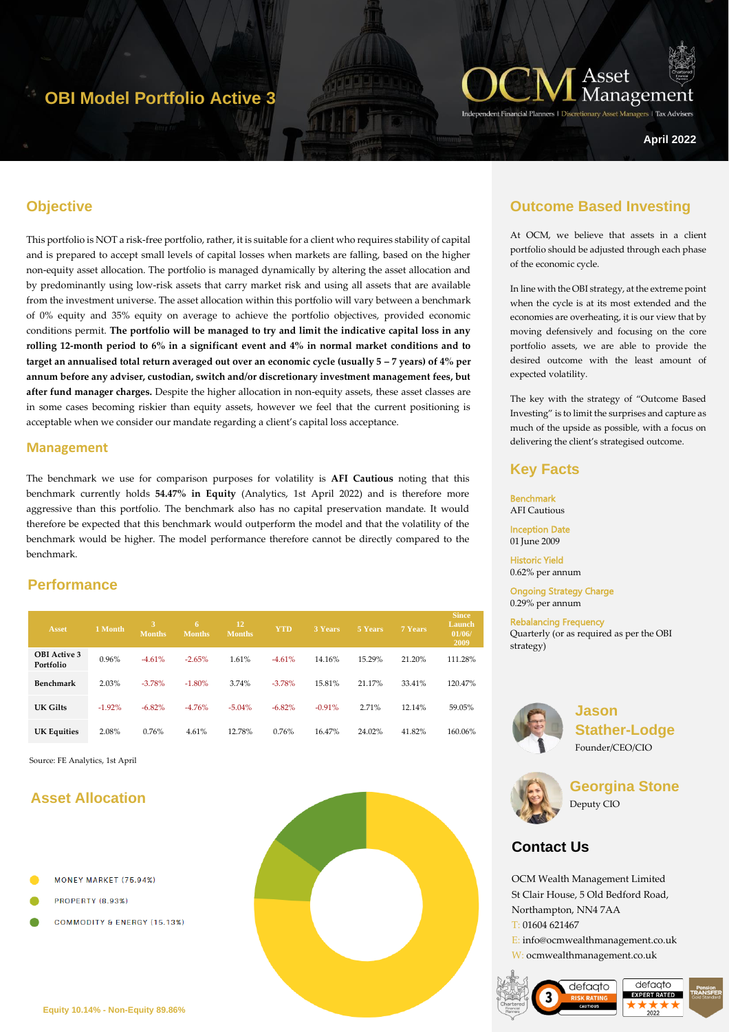# **OBI Model Portfolio Active 3**



**April 2022**

### **Objective**

This portfolio is NOT a risk-free portfolio, rather, it is suitable for a client who requires stability of capital and is prepared to accept small levels of capital losses when markets are falling, based on the higher non-equity asset allocation. The portfolio is managed dynamically by altering the asset allocation and by predominantly using low-risk assets that carry market risk and using all assets that are available from the investment universe. The asset allocation within this portfolio will vary between a benchmark of 0% equity and 35% equity on average to achieve the portfolio objectives, provided economic conditions permit. **The portfolio will be managed to try and limit the indicative capital loss in any rolling 12-month period to 6% in a significant event and 4% in normal market conditions and to target an annualised total return averaged out over an economic cycle (usually**  $5 - 7$  **years) of**  $4\%$  **per annum before any adviser, custodian, switch and/or discretionary investment management fees, but after fund manager charges.** Despite the higher allocation in non-equity assets, these asset classes are in some cases becoming riskier than equity assets, however we feel that the current positioning is acceptable when we consider our mandate regarding a client's capital loss acceptance.

#### **Management**

The benchmark we use for comparison purposes for volatility is **AFI Cautious** noting that this benchmark currently holds **54.47% in Equity** (Analytics, 1st April 2022) and is therefore more aggressive than this portfolio. The benchmark also has no capital preservation mandate. It would therefore be expected that this benchmark would outperform the model and that the volatility of the benchmark would be higher. The model performance therefore cannot be directly compared to the benchmark.

### **Performance**

| <b>Asset</b>                     | 1 Month  | 3.<br><b>Months</b> | 6<br><b>Months</b> | 12<br><b>Months</b> | <b>YTD</b> | 3 Years  | 5 Years | 7 Years | <b>Since</b><br>Launch<br>01/06/<br>2009 |
|----------------------------------|----------|---------------------|--------------------|---------------------|------------|----------|---------|---------|------------------------------------------|
| <b>OBI</b> Active 3<br>Portfolio | 0.96%    | $-4.61%$            | $-2.65%$           | 1.61%               | $-4.61%$   | 14.16%   | 15.29%  | 21.20%  | 111.28%                                  |
| Benchmark                        | 2.03%    | $-3.78%$            | $-1.80%$           | 3.74%               | $-3.78%$   | 15.81%   | 21.17%  | 33.41%  | 120.47%                                  |
| UK Gilts                         | $-1.92%$ | $-6.82\%$           | $-4.76%$           | $-5.04%$            | $-6.82%$   | $-0.91%$ | 2.71%   | 12.14%  | 59.05%                                   |
| <b>UK Equities</b>               | 2.08%    | 0.76%               | 4.61%              | 12.78%              | 0.76%      | 16.47%   | 24.02%  | 41.82%  | 160.06%                                  |

Source: FE Analytics, 1st April

## **Asset Allocation**

- MONEY MARKET (75.94%)
- **PROPERTY (8.93%)**
- **COMMODITY & ENERGY (15.13%)**



### **Outcome Based Investing**

At OCM, we believe that assets in a client portfolio should be adjusted through each phase of the economic cycle.

In line with the OBI strategy, at the extreme point when the cycle is at its most extended and the economies are overheating, it is our view that by moving defensively and focusing on the core portfolio assets, we are able to provide the desired outcome with the least amount of expected volatility.

The key with the strategy of "Outcome Based Investing" is to limit the surprises and capture as much of the upside as possible, with a focus on delivering the client's strategised outcome.

#### **Key Facts**

**Benchmark** AFI Cautious

Inception Date 01 June 2009

Historic Yield 0.62% per annum

Ongoing Strategy Charge 0.29% per annum

Rebalancing Frequency Quarterly (or as required as per the OBI strategy)



**Jason Stather-Lodge** Founder/CEO/CIO



**Georgina Stone** Deputy CIO

## **Contact Us**

OCM Wealth Management Limited St Clair House, 5 Old Bedford Road, Northampton, NN4 7AA T: 01604 621467

E: info@ocmwealthmanagement.co.uk W: ocmwealthmanagement.co.uk